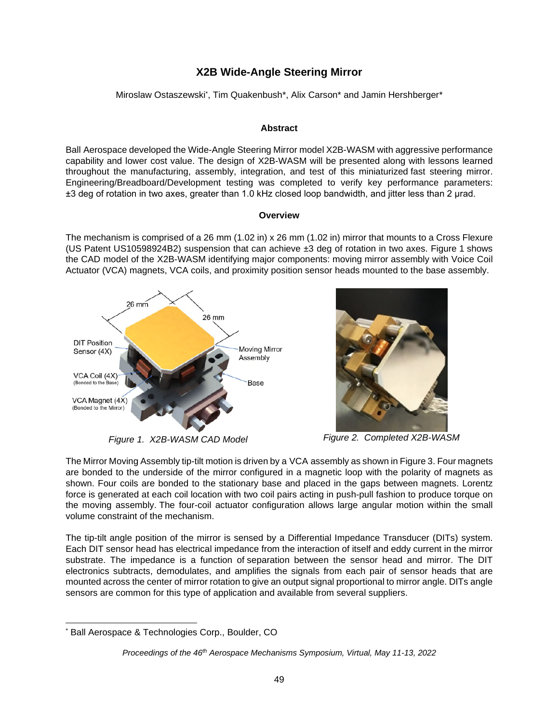# **X2B Wide-Angle Steering Mirror**

Miroslaw Ostaszewski[\\*](#page-0-0), Tim Quakenbush\*, Alix Carson\* and Jamin Hershberger\*

### **Abstract**

Ball Aerospace developed the Wide-Angle Steering Mirror model X2B-WASM with aggressive performance capability and lower cost value. The design of X2B-WASM will be presented along with lessons learned throughout the manufacturing, assembly, integration, and test of this miniaturized fast steering mirror. Engineering/Breadboard/Development testing was completed to verify key performance parameters: ±3 deg of rotation in two axes, greater than 1.0 kHz closed loop bandwidth, and jitter less than 2 μrad.

#### **Overview**

The mechanism is comprised of a 26 mm (1.02 in) x 26 mm (1.02 in) mirror that mounts to a Cross Flexure (US Patent US10598924B2) suspension that can achieve ±3 deg of rotation in two axes. Figure 1 shows the CAD model of the X2B-WASM identifying major components: moving mirror assembly with Voice Coil Actuator (VCA) magnets, VCA coils, and proximity position sensor heads mounted to the base assembly.







The Mirror Moving Assembly tip-tilt motion is driven by a VCA assembly as shown in Figure 3. Four magnets are bonded to the underside of the mirror configured in a magnetic loop with the polarity of magnets as shown. Four coils are bonded to the stationary base and placed in the gaps between magnets. Lorentz force is generated at each coil location with two coil pairs acting in push-pull fashion to produce torque on the moving assembly. The four-coil actuator configuration allows large angular motion within the small volume constraint of the mechanism.

The tip-tilt angle position of the mirror is sensed by a Differential Impedance Transducer (DITs) system. Each DIT sensor head has electrical impedance from the interaction of itself and eddy current in the mirror substrate. The impedance is a function of separation between the sensor head and mirror. The DIT electronics subtracts, demodulates, and amplifies the signals from each pair of sensor heads that are mounted across the center of mirror rotation to give an output signal proportional to mirror angle. DITs angle sensors are common for this type of application and available from several suppliers.

<span id="page-0-0"></span><sup>\*</sup> Ball Aerospace & Technologies Corp., Boulder, CO

*Proceedings of the 46th Aerospace Mechanisms Symposium, Virtual, May 11-13, 2022*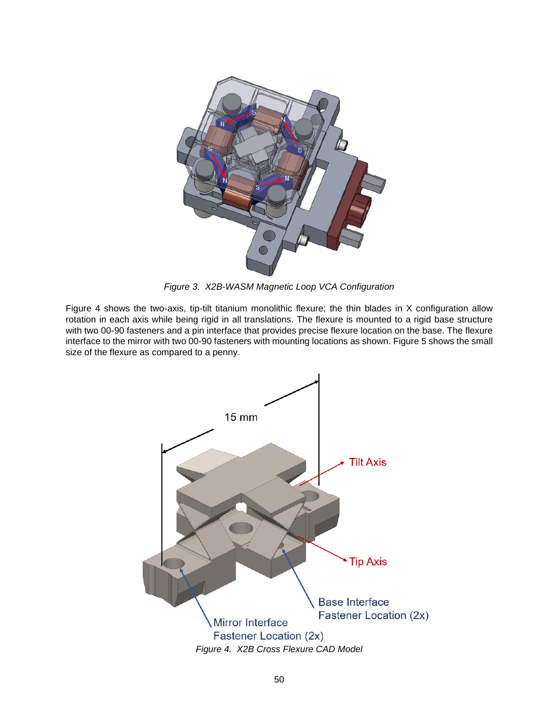

*Figure 3. X2B-WASM Magnetic Loop VCA Configuration* 

Figure 4 shows the two-axis, tip-tilt titanium monolithic flexure; the thin blades in X configuration allow rotation in each axis while being rigid in all translations. The flexure is mounted to a rigid base structure with two 00-90 fasteners and a pin interface that provides precise flexure location on the base. The flexure interface to the mirror with two 00-90 fasteners with mounting locations as shown. Figure 5 shows the small size of the flexure as compared to a penny.

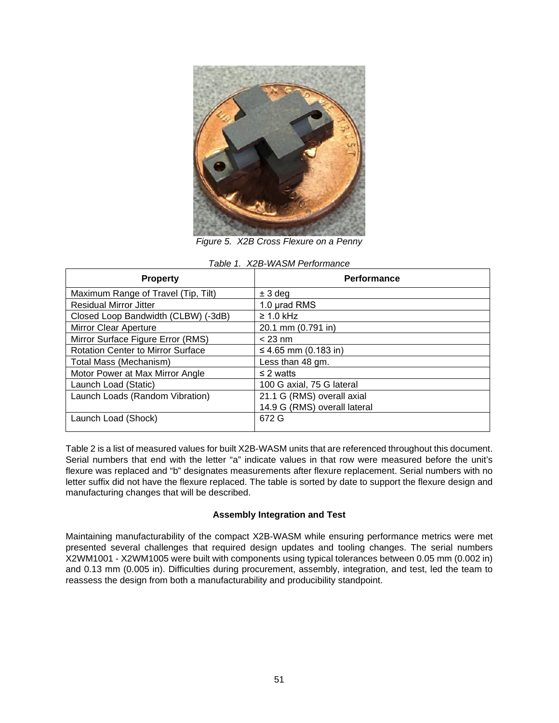

*Figure 5. X2B Cross Flexure on a Penny*

| <b>Property</b>                          | <b>Performance</b>           |  |  |  |
|------------------------------------------|------------------------------|--|--|--|
| Maximum Range of Travel (Tip, Tilt)      | $± 3$ deg                    |  |  |  |
| <b>Residual Mirror Jitter</b>            | 1.0 µrad RMS                 |  |  |  |
| Closed Loop Bandwidth (CLBW) (-3dB)      | $\geq 1.0$ kHz               |  |  |  |
| <b>Mirror Clear Aperture</b>             | 20.1 mm (0.791 in)           |  |  |  |
| Mirror Surface Figure Error (RMS)        | $<$ 23 nm                    |  |  |  |
| <b>Rotation Center to Mirror Surface</b> | ≤ 4.65 mm (0.183 in)         |  |  |  |
| Total Mass (Mechanism)                   | Less than 48 gm.             |  |  |  |
| Motor Power at Max Mirror Angle          | $\leq$ 2 watts               |  |  |  |
| Launch Load (Static)                     | 100 G axial, 75 G lateral    |  |  |  |
| Launch Loads (Random Vibration)          | 21.1 G (RMS) overall axial   |  |  |  |
|                                          | 14.9 G (RMS) overall lateral |  |  |  |
| Launch Load (Shock)                      | 672 G                        |  |  |  |

| Table 1. X2B-WASM Performance |
|-------------------------------|
|-------------------------------|

[Table 2](#page-3-0) is a list of measured values for built X2B-WASM units that are referenced throughout this document. Serial numbers that end with the letter "a" indicate values in that row were measured before the unit's flexure was replaced and "b" designates measurements after flexure replacement. Serial numbers with no letter suffix did not have the flexure replaced. The table is sorted by date to support the flexure design and manufacturing changes that will be described.

#### **Assembly Integration and Test**

Maintaining manufacturability of the compact X2B-WASM while ensuring performance metrics were met presented several challenges that required design updates and tooling changes. The serial numbers X2WM1001 - X2WM1005 were built with components using typical tolerances between 0.05 mm (0.002 in) and 0.13 mm (0.005 in). Difficulties during procurement, assembly, integration, and test, led the team to reassess the design from both a manufacturability and producibility standpoint.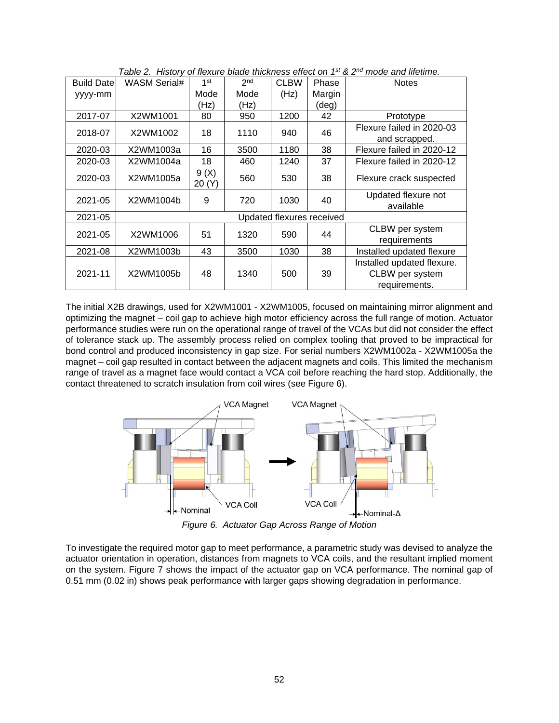<span id="page-3-0"></span>

| <b>Build Date</b> | WASM Serial#              | 1 <sup>st</sup> | 2 <sub>nd</sub> | <b>CLBW</b> | Phase  | <b>Notes</b>                                  |
|-------------------|---------------------------|-----------------|-----------------|-------------|--------|-----------------------------------------------|
| yyyy-mm           |                           | Mode            | Mode            | (Hz)        | Margin |                                               |
|                   |                           | (Hz)            | (Hz)            |             | (deg)  |                                               |
| 2017-07           | X2WM1001                  | 80              | 950             | 1200        | 42     | Prototype                                     |
| 2018-07           | X2WM1002                  | 18              | 1110            | 940         | 46     | Flexure failed in 2020-03                     |
|                   |                           |                 |                 |             |        | and scrapped.                                 |
| 2020-03           | X2WM1003a                 | 16              | 3500            | 1180        | 38     | Flexure failed in 2020-12                     |
| 2020-03           | X2WM1004a                 | 18              | 460             | 1240        | 37     | Flexure failed in 2020-12                     |
| 2020-03           | X2WM1005a                 | 9(X)<br>20(Y)   | 560             | 530         | 38     | Flexure crack suspected                       |
| 2021-05           | X2WM1004b                 | 9               | 720             | 1030        | 40     | Updated flexure not<br>available              |
| 2021-05           | Updated flexures received |                 |                 |             |        |                                               |
| 2021-05           | X2WM1006                  | 51              | 1320            | 590         | 44     | CLBW per system                               |
|                   |                           |                 |                 |             |        | requirements                                  |
| 2021-08           | X2WM1003b                 | 43              | 3500            | 1030        | 38     | Installed updated flexure                     |
| 2021-11           | X2WM1005b                 | 48              | 1340            | 500         | 39     | Installed updated flexure.<br>CLBW per system |
|                   |                           |                 |                 |             |        | requirements.                                 |

*Table 2. History of flexure blade thickness effect on 1st & 2nd mode and lifetime.* 

The initial X2B drawings, used for X2WM1001 - X2WM1005, focused on maintaining mirror alignment and optimizing the magnet – coil gap to achieve high motor efficiency across the full range of motion. Actuator performance studies were run on the operational range of travel of the VCAs but did not consider the effect of tolerance stack up. The assembly process relied on complex tooling that proved to be impractical for bond control and produced inconsistency in gap size. For serial numbers X2WM1002a - X2WM1005a the magnet – coil gap resulted in contact between the adjacent magnets and coils. This limited the mechanism range of travel as a magnet face would contact a VCA coil before reaching the hard stop. Additionally, the contact threatened to scratch insulation from coil wires (see [Figure 6](#page-3-1)).

<span id="page-3-1"></span>

*Figure 6. Actuator Gap Across Range of Motion* 

To investigate the required motor gap to meet performance, a parametric study was devised to analyze the actuator orientation in operation, distances from magnets to VCA coils, and the resultant implied moment on the system. [Figure 7](#page-4-0) shows the impact of the actuator gap on VCA performance. The nominal gap of 0.51 mm (0.02 in) shows peak performance with larger gaps showing degradation in performance.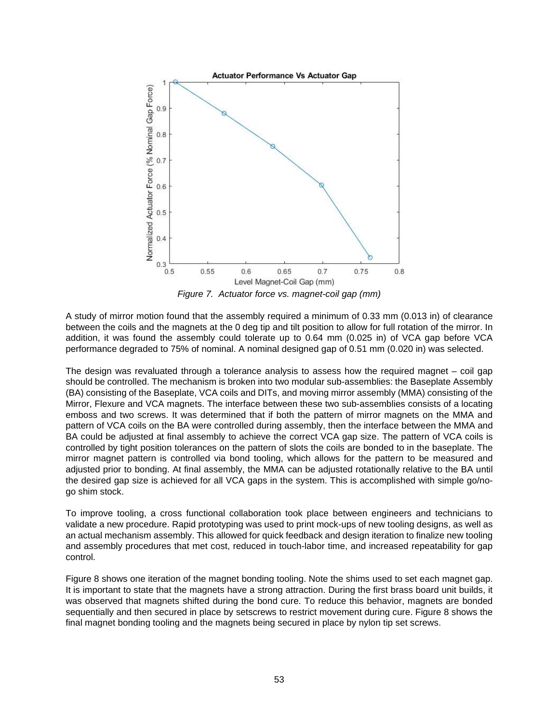<span id="page-4-0"></span>

*Figure 7. Actuator force vs. magnet-coil gap (mm)* 

A study of mirror motion found that the assembly required a minimum of 0.33 mm (0.013 in) of clearance between the coils and the magnets at the 0 deg tip and tilt position to allow for full rotation of the mirror. In addition, it was found the assembly could tolerate up to 0.64 mm (0.025 in) of VCA gap before VCA performance degraded to 75% of nominal. A nominal designed gap of 0.51 mm (0.020 in) was selected.

The design was revaluated through a tolerance analysis to assess how the required magnet – coil gap should be controlled. The mechanism is broken into two modular sub-assemblies: the Baseplate Assembly (BA) consisting of the Baseplate, VCA coils and DITs, and moving mirror assembly (MMA) consisting of the Mirror, Flexure and VCA magnets. The interface between these two sub-assemblies consists of a locating emboss and two screws. It was determined that if both the pattern of mirror magnets on the MMA and pattern of VCA coils on the BA were controlled during assembly, then the interface between the MMA and BA could be adjusted at final assembly to achieve the correct VCA gap size. The pattern of VCA coils is controlled by tight position tolerances on the pattern of slots the coils are bonded to in the baseplate. The mirror magnet pattern is controlled via bond tooling, which allows for the pattern to be measured and adjusted prior to bonding. At final assembly, the MMA can be adjusted rotationally relative to the BA until the desired gap size is achieved for all VCA gaps in the system. This is accomplished with simple go/nogo shim stock.

To improve tooling, a cross functional collaboration took place between engineers and technicians to validate a new procedure. Rapid prototyping was used to print mock-ups of new tooling designs, as well as an actual mechanism assembly. This allowed for quick feedback and design iteration to finalize new tooling and assembly procedures that met cost, reduced in touch-labor time, and increased repeatability for gap control.

[Figure 8](#page-5-0) shows one iteration of the magnet bonding tooling. Note the shims used to set each magnet gap. It is important to state that the magnets have a strong attraction. During the first brass board unit builds, it was observed that magnets shifted during the bond cure. To reduce this behavior, magnets are bonded sequentially and then secured in place by setscrews to restrict movement during cure. [Figure 8](#page-5-1) shows the final magnet bonding tooling and the magnets being secured in place by nylon tip set screws.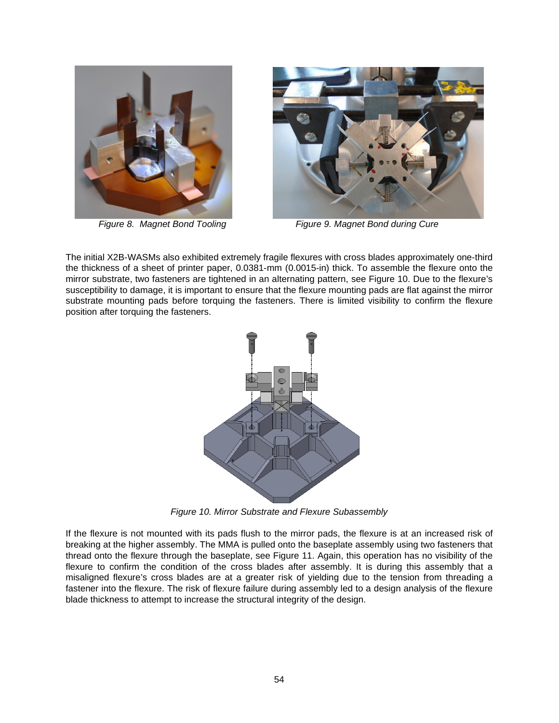<span id="page-5-0"></span>

<span id="page-5-1"></span>

*Figure 8. Magnet Bond Tooling Figure 9. Magnet Bond during Cure* 

The initial X2B-WASMs also exhibited extremely fragile flexures with cross blades approximately one-third the thickness of a sheet of printer paper, 0.0381-mm (0.0015-in) thick. To assemble the flexure onto the mirror substrate, two fasteners are tightened in an alternating pattern, see [Figure 10.](#page-5-2) Due to the flexure's susceptibility to damage, it is important to ensure that the flexure mounting pads are flat against the mirror substrate mounting pads before torquing the fasteners. There is limited visibility to confirm the flexure position after torquing the fasteners.

<span id="page-5-2"></span>

*Figure 10. Mirror Substrate and Flexure Subassembly* 

If the flexure is not mounted with its pads flush to the mirror pads, the flexure is at an increased risk of breaking at the higher assembly. The MMA is pulled onto the baseplate assembly using two fasteners that thread onto the flexure through the baseplate, see [Figure 11.](#page-6-0) Again, this operation has no visibility of the flexure to confirm the condition of the cross blades after assembly. It is during this assembly that a misaligned flexure's cross blades are at a greater risk of yielding due to the tension from threading a fastener into the flexure. The risk of flexure failure during assembly led to a design analysis of the flexure blade thickness to attempt to increase the structural integrity of the design.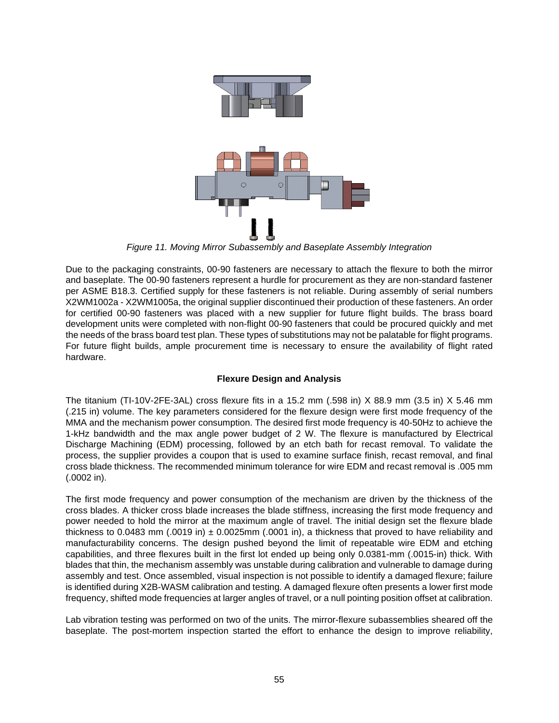<span id="page-6-0"></span>

*Figure 11. Moving Mirror Subassembly and Baseplate Assembly Integration* 

Due to the packaging constraints, 00-90 fasteners are necessary to attach the flexure to both the mirror and baseplate. The 00-90 fasteners represent a hurdle for procurement as they are non-standard fastener per ASME B18.3. Certified supply for these fasteners is not reliable. During assembly of serial numbers X2WM1002a - X2WM1005a, the original supplier discontinued their production of these fasteners. An order for certified 00-90 fasteners was placed with a new supplier for future flight builds. The brass board development units were completed with non-flight 00-90 fasteners that could be procured quickly and met the needs of the brass board test plan. These types of substitutions may not be palatable for flight programs. For future flight builds, ample procurement time is necessary to ensure the availability of flight rated hardware.

## **Flexure Design and Analysis**

The titanium (TI-10V-2FE-3AL) cross flexure fits in a 15.2 mm (.598 in) X 88.9 mm (3.5 in) X 5.46 mm (.215 in) volume. The key parameters considered for the flexure design were first mode frequency of the MMA and the mechanism power consumption. The desired first mode frequency is 40-50Hz to achieve the 1-kHz bandwidth and the max angle power budget of 2 W. The flexure is manufactured by Electrical Discharge Machining (EDM) processing, followed by an etch bath for recast removal. To validate the process, the supplier provides a coupon that is used to examine surface finish, recast removal, and final cross blade thickness. The recommended minimum tolerance for wire EDM and recast removal is .005 mm (.0002 in).

The first mode frequency and power consumption of the mechanism are driven by the thickness of the cross blades. A thicker cross blade increases the blade stiffness, increasing the first mode frequency and power needed to hold the mirror at the maximum angle of travel. The initial design set the flexure blade thickness to 0.0483 mm (.0019 in)  $\pm$  0.0025mm (.0001 in), a thickness that proved to have reliability and manufacturability concerns. The design pushed beyond the limit of repeatable wire EDM and etching capabilities, and three flexures built in the first lot ended up being only 0.0381-mm (.0015-in) thick. With blades that thin, the mechanism assembly was unstable during calibration and vulnerable to damage during assembly and test. Once assembled, visual inspection is not possible to identify a damaged flexure; failure is identified during X2B-WASM calibration and testing. A damaged flexure often presents a lower first mode frequency, shifted mode frequencies at larger angles of travel, or a null pointing position offset at calibration.

Lab vibration testing was performed on two of the units. The mirror-flexure subassemblies sheared off the baseplate. The post-mortem inspection started the effort to enhance the design to improve reliability,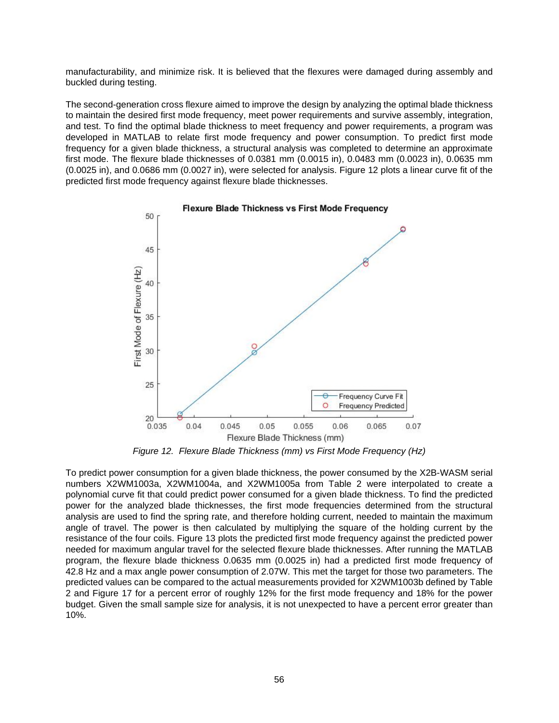manufacturability, and minimize risk. It is believed that the flexures were damaged during assembly and buckled during testing.

The second-generation cross flexure aimed to improve the design by analyzing the optimal blade thickness to maintain the desired first mode frequency, meet power requirements and survive assembly, integration, and test. To find the optimal blade thickness to meet frequency and power requirements, a program was developed in MATLAB to relate first mode frequency and power consumption. To predict first mode frequency for a given blade thickness, a structural analysis was completed to determine an approximate first mode. The flexure blade thicknesses of 0.0381 mm (0.0015 in), 0.0483 mm (0.0023 in), 0.0635 mm (0.0025 in), and 0.0686 mm (0.0027 in), were selected for analysis. [Figure 12](#page-7-0) plots a linear curve fit of the predicted first mode frequency against flexure blade thicknesses.

<span id="page-7-0"></span>

*Figure 12. Flexure Blade Thickness (mm) vs First Mode Frequency (Hz)* 

To predict power consumption for a given blade thickness, the power consumed by the X2B-WASM serial numbers X2WM1003a, X2WM1004a, and X2WM1005a from [Table 2](#page-3-0) were interpolated to create a polynomial curve fit that could predict power consumed for a given blade thickness. To find the predicted power for the analyzed blade thicknesses, the first mode frequencies determined from the structural analysis are used to find the spring rate, and therefore holding current, needed to maintain the maximum angle of travel. The power is then calculated by multiplying the square of the holding current by the resistance of the four coils. [Figure 13](#page-8-0) plots the predicted first mode frequency against the predicted power needed for maximum angular travel for the selected flexure blade thicknesses. After running the MATLAB program, the flexure blade thickness 0.0635 mm (0.0025 in) had a predicted first mode frequency of 42.8 Hz and a max angle power consumption of 2.07W. This met the target for those two parameters. The predicted values can be compared to the actual measurements provided for X2WM1003b defined by [Table](#page-3-0)  2 and [Figure 17](#page-11-0) for a percent error of roughly 12% for the first mode frequency and 18% for the power budget. Given the small sample size for analysis, it is not unexpected to have a percent error greater than 10%.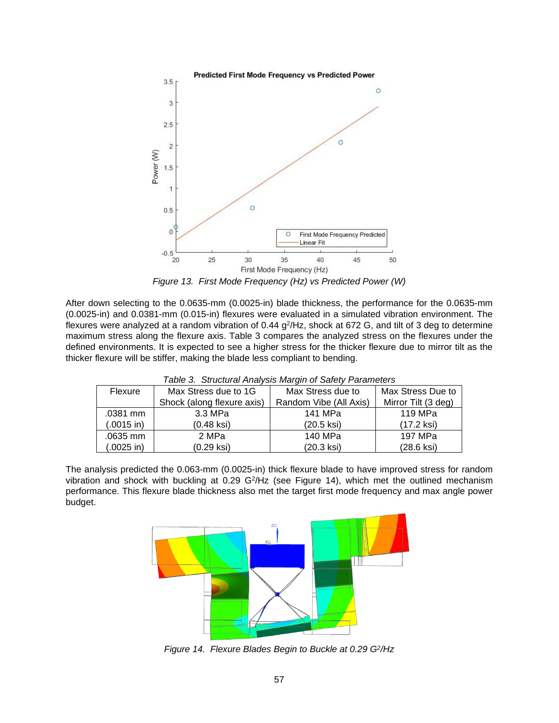<span id="page-8-0"></span>

*Figure 13. First Mode Frequency (Hz) vs Predicted Power (W)* 

After down selecting to the 0.0635-mm (0.0025-in) blade thickness, the performance for the 0.0635-mm (0.0025-in) and 0.0381-mm (0.015-in) flexures were evaluated in a simulated vibration environment. The flexures were analyzed at a random vibration of 0.44 g<sup>2</sup>/Hz, shock at 672 G, and tilt of 3 deg to determine maximum stress along the flexure axis. [Table 3](#page-8-1) compares the analyzed stress on the flexures under the defined environments. It is expected to see a higher stress for the thicker flexure due to mirror tilt as the thicker flexure will be stiffer, making the blade less compliant to bending.

| Flexure      | Max Stress due to 1G       | Max Stress due to      | Max Stress Due to   |
|--------------|----------------------------|------------------------|---------------------|
|              | Shock (along flexure axis) | Random Vibe (All Axis) | Mirror Tilt (3 deg) |
| .0381 mm     | 3.3 MPa                    | 141 MPa                | 119 MPa             |
| $(.0015$ in) | $(0.48$ ksi $)$            | $(20.5$ ksi)           | $(17.2$ ksi $)$     |
| .0635 mm     | 2 MPa                      | 140 MPa                | 197 MPa             |
| $(.0025$ in) | (0.29 ksi)                 | (20.3 ksi)             | (28.6 ksi)          |

<span id="page-8-1"></span>*Table 3. Structural Analysis Margin of Safety Parameters* 

The analysis predicted the 0.063-mm (0.0025-in) thick flexure blade to have improved stress for random vibration and shock with buckling at  $0.29$  G<sup>2</sup>/Hz (see [Figure 14\)](#page-8-2), which met the outlined mechanism performance. This flexure blade thickness also met the target first mode frequency and max angle power budget.

<span id="page-8-2"></span>

*Figure 14. Flexure Blades Begin to Buckle at 0.29 G<sup>2</sup> /Hz*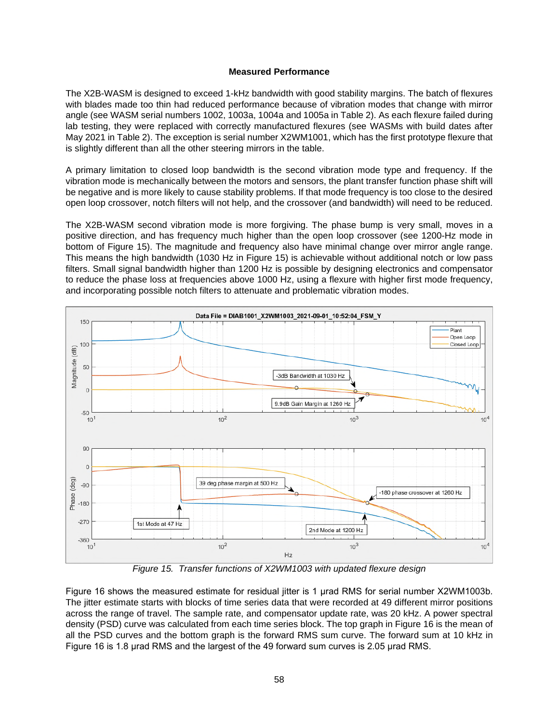#### **Measured Performance**

The X2B-WASM is designed to exceed 1-kHz bandwidth with good stability margins. The batch of flexures with blades made too thin had reduced performance because of vibration modes that change with mirror angle (see WASM serial numbers 1002, 1003a, 1004a and 1005a in [Table 2](#page-3-0)). As each flexure failed during lab testing, they were replaced with correctly manufactured flexures (see WASMs with build dates after May 2021 in [Table 2](#page-3-0)). The exception is serial number X2WM1001, which has the first prototype flexure that is slightly different than all the other steering mirrors in the table.

A primary limitation to closed loop bandwidth is the second vibration mode type and frequency. If the vibration mode is mechanically between the motors and sensors, the plant transfer function phase shift will be negative and is more likely to cause stability problems. If that mode frequency is too close to the desired open loop crossover, notch filters will not help, and the crossover (and bandwidth) will need to be reduced.

The X2B-WASM second vibration mode is more forgiving. The phase bump is very small, moves in a positive direction, and has frequency much higher than the open loop crossover (see 1200-Hz mode in bottom of [Figure 15\)](#page-9-0). The magnitude and frequency also have minimal change over mirror angle range. This means the high bandwidth (1030 Hz in [Figure 15\)](#page-9-0) is achievable without additional notch or low pass filters. Small signal bandwidth higher than 1200 Hz is possible by designing electronics and compensator to reduce the phase loss at frequencies above 1000 Hz, using a flexure with higher first mode frequency, and incorporating possible notch filters to attenuate and problematic vibration modes.

<span id="page-9-0"></span>

*Figure 15. Transfer functions of X2WM1003 with updated flexure design* 

[Figure](#page-10-0) 16 shows the measured estimate for residual jitter is 1 μrad RMS for serial number X2WM1003b. The jitter estimate starts with blocks of time series data that were recorded at 49 different mirror positions across the range of travel. The sample rate, and compensator update rate, was 20 kHz. A power spectral density (PSD) curve was calculated from each time series block. The top graph in [Figure 16](#page-10-1) is the mean of all the PSD curves and the bottom graph is the forward RMS sum curve. The forward sum at 10 kHz in [Figure](#page-10-1) 16 is 1.8 μrad RMS and the largest of the 49 forward sum curves is 2.05 μrad RMS.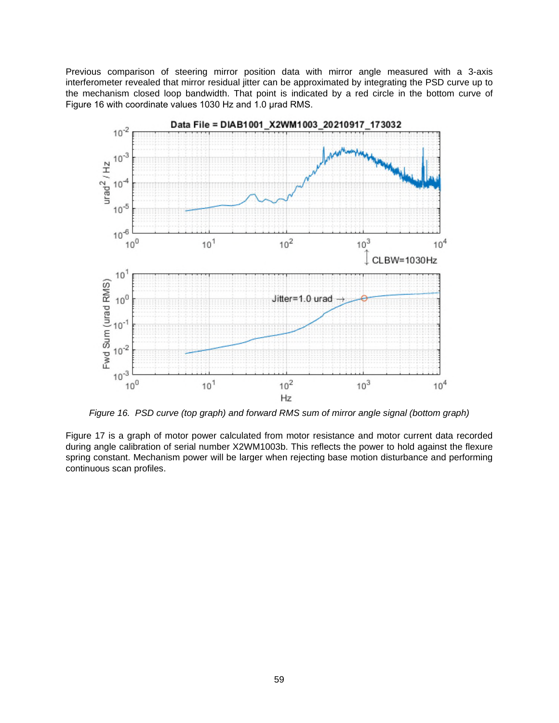Previous comparison of steering mirror position data with mirror angle measured with a 3-axis interferometer revealed that mirror residual jitter can be approximated by integrating the PSD curve up to the mechanism closed loop bandwidth. That point is indicated by a red circle in the bottom curve of [Figure](#page-10-1) 16 with coordinate values 1030 Hz and 1.0 μrad RMS.

<span id="page-10-1"></span><span id="page-10-0"></span>

*Figure 16. PSD curve (top graph) and forward RMS sum of mirror angle signal (bottom graph)*

[Figure 17](#page-11-0) is a graph of motor power calculated from motor resistance and motor current data recorded during angle calibration of serial number X2WM1003b. This reflects the power to hold against the flexure spring constant. Mechanism power will be larger when rejecting base motion disturbance and performing continuous scan profiles.